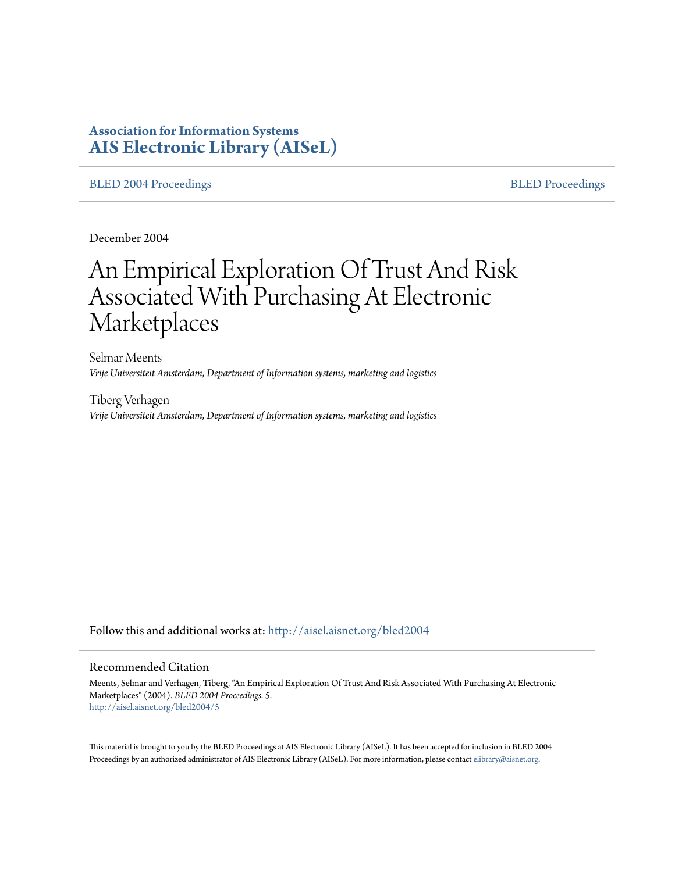# **Association for Information Systems [AIS Electronic Library \(AISeL\)](http://aisel.aisnet.org?utm_source=aisel.aisnet.org%2Fbled2004%2F5&utm_medium=PDF&utm_campaign=PDFCoverPages)**

## [BLED 2004 Proceedings](http://aisel.aisnet.org/bled2004?utm_source=aisel.aisnet.org%2Fbled2004%2F5&utm_medium=PDF&utm_campaign=PDFCoverPages) and the state of the state of the [BLED Proceedings](http://aisel.aisnet.org/bled?utm_source=aisel.aisnet.org%2Fbled2004%2F5&utm_medium=PDF&utm_campaign=PDFCoverPages) and the BLED Proceedings and the BLED Proceedings and the BLED Proceedings and the BLED Proceedings and the BLED Proceedings and the BLED Proceedings

December 2004

# An Empirical Exploration Of Trust And Risk Associated With Purchasing At Electronic Marketplaces

Selmar Meents *Vrije Universiteit Amsterdam, Department of Information systems, marketing and logistics*

Tiberg Verhagen *Vrije Universiteit Amsterdam, Department of Information systems, marketing and logistics*

Follow this and additional works at: [http://aisel.aisnet.org/bled2004](http://aisel.aisnet.org/bled2004?utm_source=aisel.aisnet.org%2Fbled2004%2F5&utm_medium=PDF&utm_campaign=PDFCoverPages)

#### Recommended Citation

Meents, Selmar and Verhagen, Tiberg, "An Empirical Exploration Of Trust And Risk Associated With Purchasing At Electronic Marketplaces" (2004). *BLED 2004 Proceedings*. 5. [http://aisel.aisnet.org/bled2004/5](http://aisel.aisnet.org/bled2004/5?utm_source=aisel.aisnet.org%2Fbled2004%2F5&utm_medium=PDF&utm_campaign=PDFCoverPages)

This material is brought to you by the BLED Proceedings at AIS Electronic Library (AISeL). It has been accepted for inclusion in BLED 2004 Proceedings by an authorized administrator of AIS Electronic Library (AISeL). For more information, please contact [elibrary@aisnet.org](mailto:elibrary@aisnet.org%3E).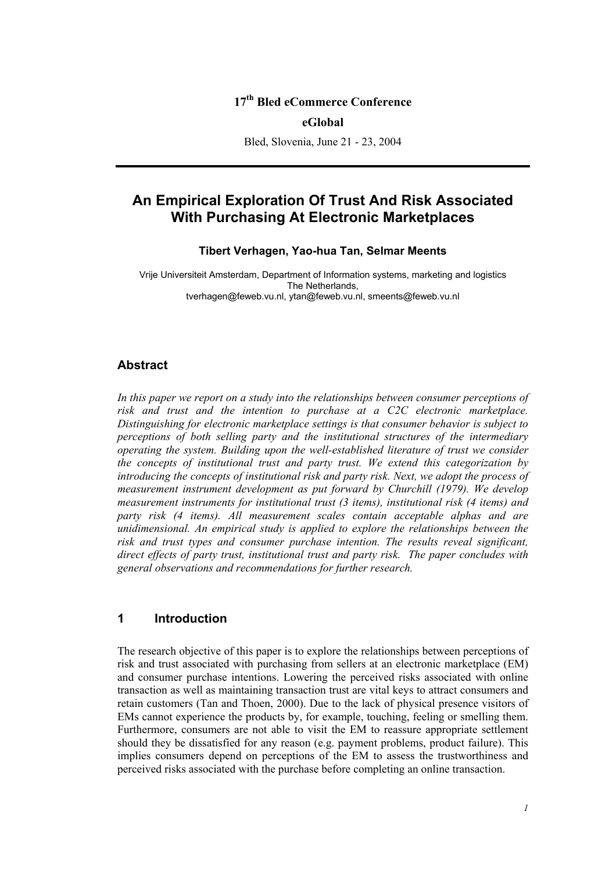## **17th Bled eCommerce Conference**

#### **eGlobal**

Bled, Slovenia, June 21 - 23, 2004

# **An Empirical Exploration Of Trust And Risk Associated With Purchasing At Electronic Marketplaces**

### **Tibert Verhagen, Yao-hua Tan, Selmar Meents**

Vrije Universiteit Amsterdam, Department of Information systems, marketing and logistics The Netherlands, tverhagen@feweb.vu.nl, ytan@feweb.vu.nl, smeents@feweb.vu.nl

## **Abstract**

In this paper we report on a study into the relationships between consumer perceptions of *risk and trust and the intention to purchase at a C2C electronic marketplace. Distinguishing for electronic marketplace settings is that consumer behavior is subject to perceptions of both selling party and the institutional structures of the intermediary operating the system. Building upon the well-established literature of trust we consider the concepts of institutional trust and party trust. We extend this categorization by introducing the concepts of institutional risk and party risk. Next, we adopt the process of measurement instrument development as put forward by Churchill (1979). We develop measurement instruments for institutional trust (3 items), institutional risk (4 items) and party risk (4 items). All measurement scales contain acceptable alphas and are unidimensional. An empirical study is applied to explore the relationships between the risk and trust types and consumer purchase intention. The results reveal significant, direct effects of party trust, institutional trust and party risk. The paper concludes with general observations and recommendations for further research.* 

## **1 Introduction**

The research objective of this paper is to explore the relationships between perceptions of risk and trust associated with purchasing from sellers at an electronic marketplace (EM) and consumer purchase intentions. Lowering the perceived risks associated with online transaction as well as maintaining transaction trust are vital keys to attract consumers and retain customers (Tan and Thoen, 2000). Due to the lack of physical presence visitors of EMs cannot experience the products by, for example, touching, feeling or smelling them. Furthermore, consumers are not able to visit the EM to reassure appropriate settlement should they be dissatisfied for any reason (e.g. payment problems, product failure). This implies consumers depend on perceptions of the EM to assess the trustworthiness and perceived risks associated with the purchase before completing an online transaction.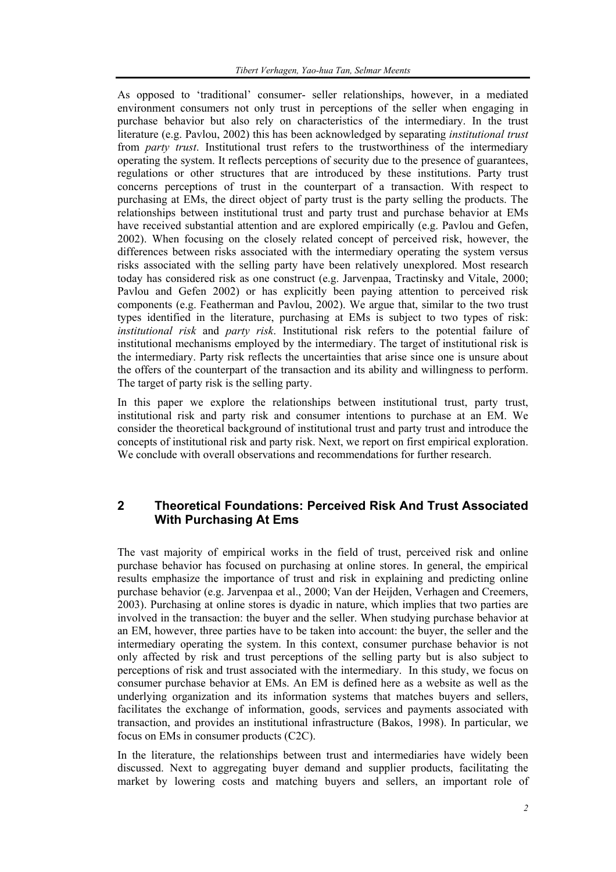As opposed to 'traditional' consumer- seller relationships, however, in a mediated environment consumers not only trust in perceptions of the seller when engaging in purchase behavior but also rely on characteristics of the intermediary. In the trust literature (e.g. Pavlou, 2002) this has been acknowledged by separating *institutional trust* from *party trust*. Institutional trust refers to the trustworthiness of the intermediary operating the system. It reflects perceptions of security due to the presence of guarantees, regulations or other structures that are introduced by these institutions. Party trust concerns perceptions of trust in the counterpart of a transaction. With respect to purchasing at EMs, the direct object of party trust is the party selling the products. The relationships between institutional trust and party trust and purchase behavior at EMs have received substantial attention and are explored empirically (e.g. Pavlou and Gefen, 2002). When focusing on the closely related concept of perceived risk, however, the differences between risks associated with the intermediary operating the system versus risks associated with the selling party have been relatively unexplored. Most research today has considered risk as one construct (e.g. Jarvenpaa, Tractinsky and Vitale, 2000; Pavlou and Gefen 2002) or has explicitly been paying attention to perceived risk components (e.g. Featherman and Pavlou, 2002). We argue that, similar to the two trust types identified in the literature, purchasing at EMs is subject to two types of risk: *institutional risk* and *party risk*. Institutional risk refers to the potential failure of institutional mechanisms employed by the intermediary. The target of institutional risk is the intermediary. Party risk reflects the uncertainties that arise since one is unsure about the offers of the counterpart of the transaction and its ability and willingness to perform. The target of party risk is the selling party.

In this paper we explore the relationships between institutional trust, party trust, institutional risk and party risk and consumer intentions to purchase at an EM. We consider the theoretical background of institutional trust and party trust and introduce the concepts of institutional risk and party risk. Next, we report on first empirical exploration. We conclude with overall observations and recommendations for further research.

# **2 Theoretical Foundations: Perceived Risk And Trust Associated With Purchasing At Ems**

The vast majority of empirical works in the field of trust, perceived risk and online purchase behavior has focused on purchasing at online stores. In general, the empirical results emphasize the importance of trust and risk in explaining and predicting online purchase behavior (e.g. Jarvenpaa et al., 2000; Van der Heijden, Verhagen and Creemers, 2003). Purchasing at online stores is dyadic in nature, which implies that two parties are involved in the transaction: the buyer and the seller. When studying purchase behavior at an EM, however, three parties have to be taken into account: the buyer, the seller and the intermediary operating the system. In this context, consumer purchase behavior is not only affected by risk and trust perceptions of the selling party but is also subject to perceptions of risk and trust associated with the intermediary. In this study, we focus on consumer purchase behavior at EMs. An EM is defined here as a website as well as the underlying organization and its information systems that matches buyers and sellers, facilitates the exchange of information, goods, services and payments associated with transaction, and provides an institutional infrastructure (Bakos, 1998). In particular, we focus on EMs in consumer products (C2C).

In the literature, the relationships between trust and intermediaries have widely been discussed. Next to aggregating buyer demand and supplier products, facilitating the market by lowering costs and matching buyers and sellers, an important role of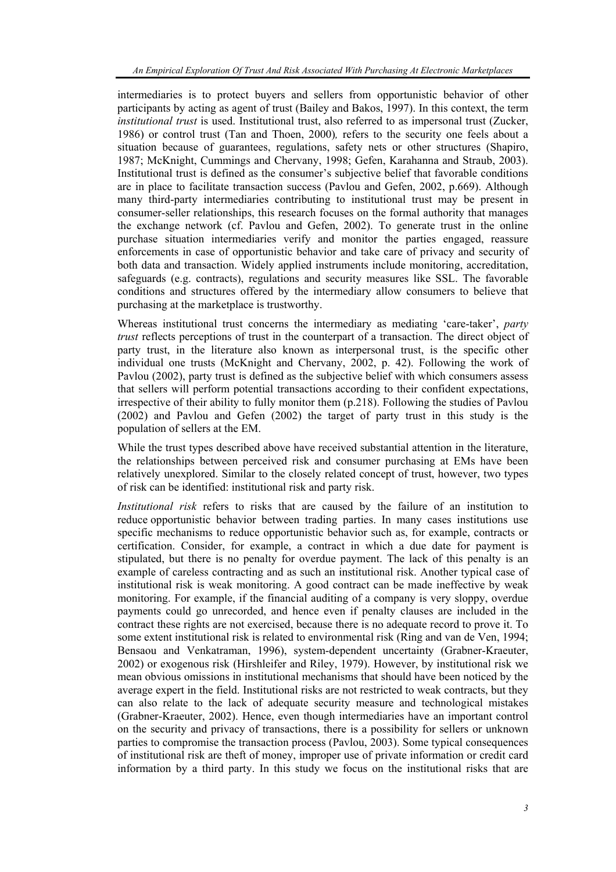intermediaries is to protect buyers and sellers from opportunistic behavior of other participants by acting as agent of trust (Bailey and Bakos, 1997). In this context, the term *institutional trust* is used. Institutional trust, also referred to as impersonal trust (Zucker, 1986) or control trust (Tan and Thoen, 2000)*,* refers to the security one feels about a situation because of guarantees, regulations, safety nets or other structures (Shapiro, 1987; McKnight, Cummings and Chervany, 1998; Gefen, Karahanna and Straub, 2003). Institutional trust is defined as the consumer's subjective belief that favorable conditions are in place to facilitate transaction success (Pavlou and Gefen, 2002, p.669). Although many third-party intermediaries contributing to institutional trust may be present in consumer-seller relationships, this research focuses on the formal authority that manages the exchange network (cf. Pavlou and Gefen, 2002). To generate trust in the online purchase situation intermediaries verify and monitor the parties engaged, reassure enforcements in case of opportunistic behavior and take care of privacy and security of both data and transaction. Widely applied instruments include monitoring, accreditation, safeguards (e.g. contracts), regulations and security measures like SSL. The favorable conditions and structures offered by the intermediary allow consumers to believe that purchasing at the marketplace is trustworthy.

Whereas institutional trust concerns the intermediary as mediating 'care-taker', *party trust* reflects perceptions of trust in the counterpart of a transaction. The direct object of party trust, in the literature also known as interpersonal trust, is the specific other individual one trusts (McKnight and Chervany, 2002, p. 42). Following the work of Pavlou (2002), party trust is defined as the subjective belief with which consumers assess that sellers will perform potential transactions according to their confident expectations, irrespective of their ability to fully monitor them (p.218). Following the studies of Pavlou (2002) and Pavlou and Gefen (2002) the target of party trust in this study is the population of sellers at the EM.

While the trust types described above have received substantial attention in the literature, the relationships between perceived risk and consumer purchasing at EMs have been relatively unexplored. Similar to the closely related concept of trust, however, two types of risk can be identified: institutional risk and party risk.

*Institutional risk* refers to risks that are caused by the failure of an institution to reduce opportunistic behavior between trading parties. In many cases institutions use specific mechanisms to reduce opportunistic behavior such as, for example, contracts or certification. Consider, for example, a contract in which a due date for payment is stipulated, but there is no penalty for overdue payment. The lack of this penalty is an example of careless contracting and as such an institutional risk. Another typical case of institutional risk is weak monitoring. A good contract can be made ineffective by weak monitoring. For example, if the financial auditing of a company is very sloppy, overdue payments could go unrecorded, and hence even if penalty clauses are included in the contract these rights are not exercised, because there is no adequate record to prove it. To some extent institutional risk is related to environmental risk (Ring and van de Ven, 1994; Bensaou and Venkatraman, 1996), system-dependent uncertainty (Grabner-Kraeuter, 2002) or exogenous risk (Hirshleifer and Riley, 1979). However, by institutional risk we mean obvious omissions in institutional mechanisms that should have been noticed by the average expert in the field. Institutional risks are not restricted to weak contracts, but they can also relate to the lack of adequate security measure and technological mistakes (Grabner-Kraeuter, 2002). Hence, even though intermediaries have an important control on the security and privacy of transactions, there is a possibility for sellers or unknown parties to compromise the transaction process (Pavlou, 2003). Some typical consequences of institutional risk are theft of money, improper use of private information or credit card information by a third party. In this study we focus on the institutional risks that are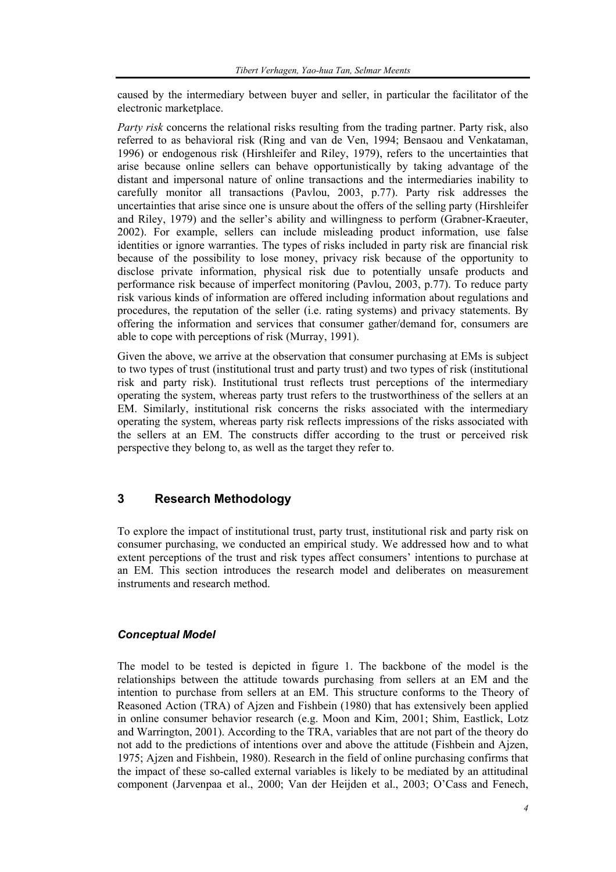caused by the intermediary between buyer and seller, in particular the facilitator of the electronic marketplace.

*Party risk* concerns the relational risks resulting from the trading partner. Party risk, also referred to as behavioral risk (Ring and van de Ven, 1994; Bensaou and Venkataman, 1996) or endogenous risk (Hirshleifer and Riley, 1979), refers to the uncertainties that arise because online sellers can behave opportunistically by taking advantage of the distant and impersonal nature of online transactions and the intermediaries inability to carefully monitor all transactions (Pavlou, 2003, p.77). Party risk addresses the uncertainties that arise since one is unsure about the offers of the selling party (Hirshleifer and Riley, 1979) and the seller's ability and willingness to perform (Grabner-Kraeuter, 2002). For example, sellers can include misleading product information, use false identities or ignore warranties. The types of risks included in party risk are financial risk because of the possibility to lose money, privacy risk because of the opportunity to disclose private information, physical risk due to potentially unsafe products and performance risk because of imperfect monitoring (Pavlou, 2003, p.77). To reduce party risk various kinds of information are offered including information about regulations and procedures, the reputation of the seller (i.e. rating systems) and privacy statements. By offering the information and services that consumer gather/demand for, consumers are able to cope with perceptions of risk (Murray, 1991).

Given the above, we arrive at the observation that consumer purchasing at EMs is subject to two types of trust (institutional trust and party trust) and two types of risk (institutional risk and party risk). Institutional trust reflects trust perceptions of the intermediary operating the system, whereas party trust refers to the trustworthiness of the sellers at an EM. Similarly, institutional risk concerns the risks associated with the intermediary operating the system, whereas party risk reflects impressions of the risks associated with the sellers at an EM. The constructs differ according to the trust or perceived risk perspective they belong to, as well as the target they refer to.

# **3 Research Methodology**

To explore the impact of institutional trust, party trust, institutional risk and party risk on consumer purchasing, we conducted an empirical study. We addressed how and to what extent perceptions of the trust and risk types affect consumers' intentions to purchase at an EM. This section introduces the research model and deliberates on measurement instruments and research method.

## *Conceptual Model*

The model to be tested is depicted in figure 1. The backbone of the model is the relationships between the attitude towards purchasing from sellers at an EM and the intention to purchase from sellers at an EM. This structure conforms to the Theory of Reasoned Action (TRA) of Ajzen and Fishbein (1980) that has extensively been applied in online consumer behavior research (e.g. Moon and Kim, 2001; Shim, Eastlick, Lotz and Warrington, 2001). According to the TRA, variables that are not part of the theory do not add to the predictions of intentions over and above the attitude (Fishbein and Ajzen, 1975; Ajzen and Fishbein, 1980). Research in the field of online purchasing confirms that the impact of these so-called external variables is likely to be mediated by an attitudinal component (Jarvenpaa et al., 2000; Van der Heijden et al., 2003; O'Cass and Fenech,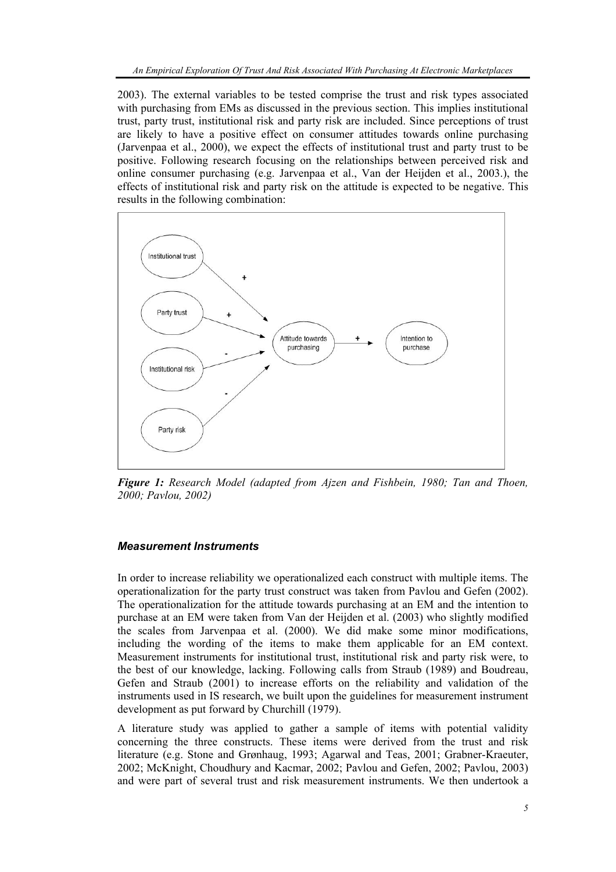2003). The external variables to be tested comprise the trust and risk types associated with purchasing from EMs as discussed in the previous section. This implies institutional trust, party trust, institutional risk and party risk are included. Since perceptions of trust are likely to have a positive effect on consumer attitudes towards online purchasing (Jarvenpaa et al., 2000), we expect the effects of institutional trust and party trust to be positive. Following research focusing on the relationships between perceived risk and online consumer purchasing (e.g. Jarvenpaa et al., Van der Heijden et al., 2003.), the effects of institutional risk and party risk on the attitude is expected to be negative. This results in the following combination:



*Figure 1: Research Model (adapted from Ajzen and Fishbein, 1980; Tan and Thoen, 2000; Pavlou, 2002)* 

## *Measurement Instruments*

In order to increase reliability we operationalized each construct with multiple items. The operationalization for the party trust construct was taken from Pavlou and Gefen (2002). The operationalization for the attitude towards purchasing at an EM and the intention to purchase at an EM were taken from Van der Heijden et al. (2003) who slightly modified the scales from Jarvenpaa et al. (2000). We did make some minor modifications, including the wording of the items to make them applicable for an EM context. Measurement instruments for institutional trust, institutional risk and party risk were, to the best of our knowledge, lacking. Following calls from Straub (1989) and Boudreau, Gefen and Straub (2001) to increase efforts on the reliability and validation of the instruments used in IS research, we built upon the guidelines for measurement instrument development as put forward by Churchill (1979).

A literature study was applied to gather a sample of items with potential validity concerning the three constructs. These items were derived from the trust and risk literature (e.g. Stone and Grønhaug, 1993; Agarwal and Teas, 2001; Grabner-Kraeuter, 2002; McKnight, Choudhury and Kacmar, 2002; Pavlou and Gefen, 2002; Pavlou, 2003) and were part of several trust and risk measurement instruments. We then undertook a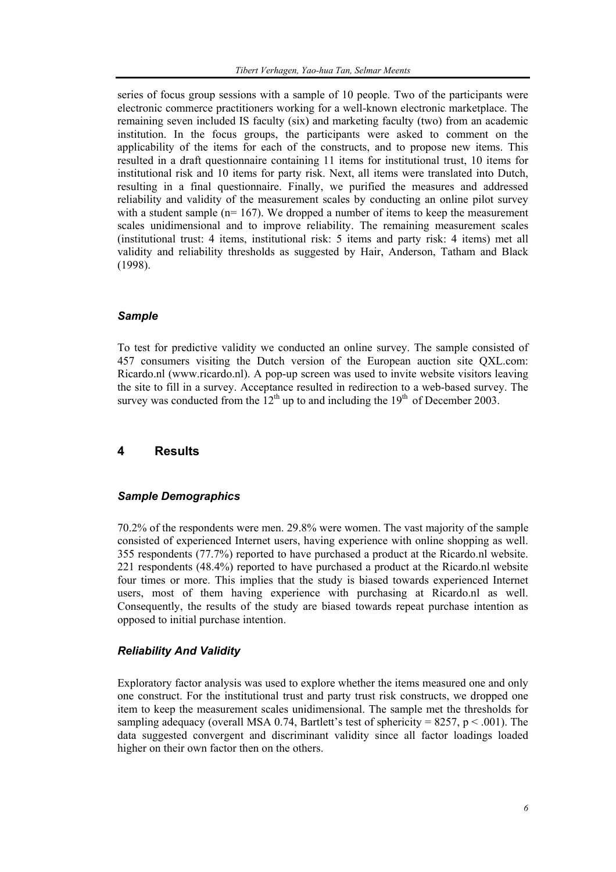series of focus group sessions with a sample of 10 people. Two of the participants were electronic commerce practitioners working for a well-known electronic marketplace. The remaining seven included IS faculty (six) and marketing faculty (two) from an academic institution. In the focus groups, the participants were asked to comment on the applicability of the items for each of the constructs, and to propose new items. This resulted in a draft questionnaire containing 11 items for institutional trust, 10 items for institutional risk and 10 items for party risk. Next, all items were translated into Dutch, resulting in a final questionnaire. Finally, we purified the measures and addressed reliability and validity of the measurement scales by conducting an online pilot survey with a student sample  $(n= 167)$ . We dropped a number of items to keep the measurement scales unidimensional and to improve reliability. The remaining measurement scales (institutional trust: 4 items, institutional risk: 5 items and party risk: 4 items) met all validity and reliability thresholds as suggested by Hair, Anderson, Tatham and Black (1998).

## *Sample*

To test for predictive validity we conducted an online survey. The sample consisted of 457 consumers visiting the Dutch version of the European auction site QXL.com: Ricardo.nl (www.ricardo.nl). A pop-up screen was used to invite website visitors leaving the site to fill in a survey. Acceptance resulted in redirection to a web-based survey. The survey was conducted from the  $12<sup>th</sup>$  up to and including the  $19<sup>th</sup>$  of December 2003.

## **4 Results**

### *Sample Demographics*

70.2% of the respondents were men. 29.8% were women. The vast majority of the sample consisted of experienced Internet users, having experience with online shopping as well. 355 respondents (77.7%) reported to have purchased a product at the Ricardo.nl website. 221 respondents (48.4%) reported to have purchased a product at the Ricardo.nl website four times or more. This implies that the study is biased towards experienced Internet users, most of them having experience with purchasing at Ricardo.nl as well. Consequently, the results of the study are biased towards repeat purchase intention as opposed to initial purchase intention.

## *Reliability And Validity*

Exploratory factor analysis was used to explore whether the items measured one and only one construct. For the institutional trust and party trust risk constructs, we dropped one item to keep the measurement scales unidimensional. The sample met the thresholds for sampling adequacy (overall MSA 0.74, Bartlett's test of sphericity = 8257,  $p < .001$ ). The data suggested convergent and discriminant validity since all factor loadings loaded higher on their own factor then on the others.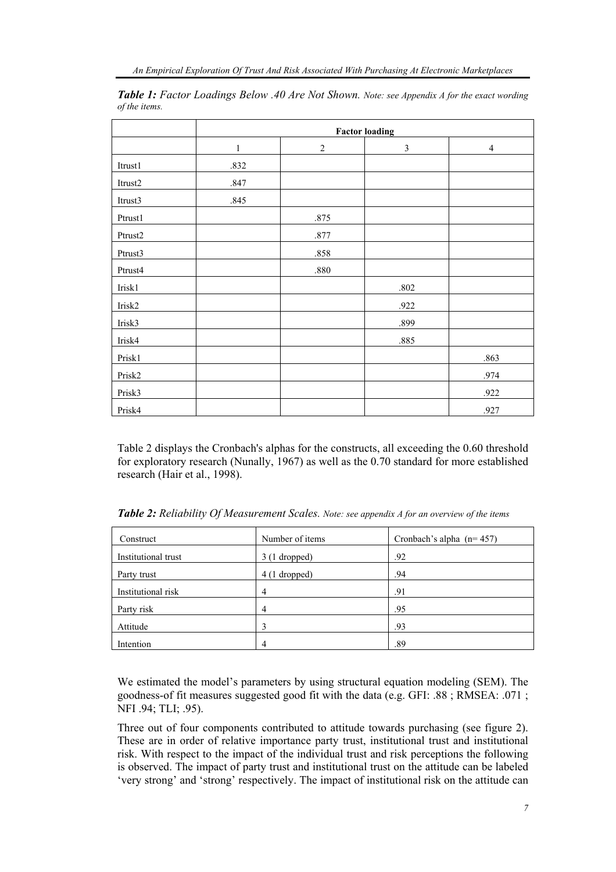|         | <b>Factor loading</b> |                |          |                |
|---------|-----------------------|----------------|----------|----------------|
|         | $\mathbf{1}$          | $\overline{2}$ | 3        | $\overline{4}$ |
| Itrust1 | .832                  |                |          |                |
| Itrust2 | .847                  |                |          |                |
| Itrust3 | .845                  |                |          |                |
| Ptrust1 |                       | .875           |          |                |
| Ptrust2 |                       | .877           |          |                |
| Ptrust3 |                       | .858           |          |                |
| Ptrust4 |                       | $.880\,$       |          |                |
| Irisk1  |                       |                | $.802\,$ |                |
| Irisk2  |                       |                | .922     |                |
| Irisk3  |                       |                | .899     |                |
| Irisk4  |                       |                | .885     |                |
| Prisk1  |                       |                |          | .863           |
| Prisk2  |                       |                |          | .974           |
| Prisk3  |                       |                |          | .922           |
| Prisk4  |                       |                |          | .927           |

*Table 1: Factor Loadings Below .40 Are Not Shown. Note: see Appendix A for the exact wording of the items.*

Table 2 displays the Cronbach's alphas for the constructs, all exceeding the 0.60 threshold for exploratory research (Nunally, 1967) as well as the 0.70 standard for more established research (Hair et al., 1998).

| Construct           | Number of items | Cronbach's alpha $(n=457)$ |
|---------------------|-----------------|----------------------------|
| Institutional trust | $3(1$ dropped)  | .92                        |
| Party trust         | $4(1$ dropped)  | .94                        |
| Institutional risk  | 4               | .91                        |
| Party risk          | 4               | .95                        |
| Attitude            |                 | .93                        |
| Intention           | 4               | .89                        |

*Table 2: Reliability Of Measurement Scales. Note: see appendix A for an overview of the items* 

We estimated the model's parameters by using structural equation modeling (SEM). The goodness-of fit measures suggested good fit with the data (e.g. GFI: .88 ; RMSEA: .071 ; NFI .94; TLI; .95).

Three out of four components contributed to attitude towards purchasing (see figure 2). These are in order of relative importance party trust, institutional trust and institutional risk. With respect to the impact of the individual trust and risk perceptions the following is observed. The impact of party trust and institutional trust on the attitude can be labeled 'very strong' and 'strong' respectively. The impact of institutional risk on the attitude can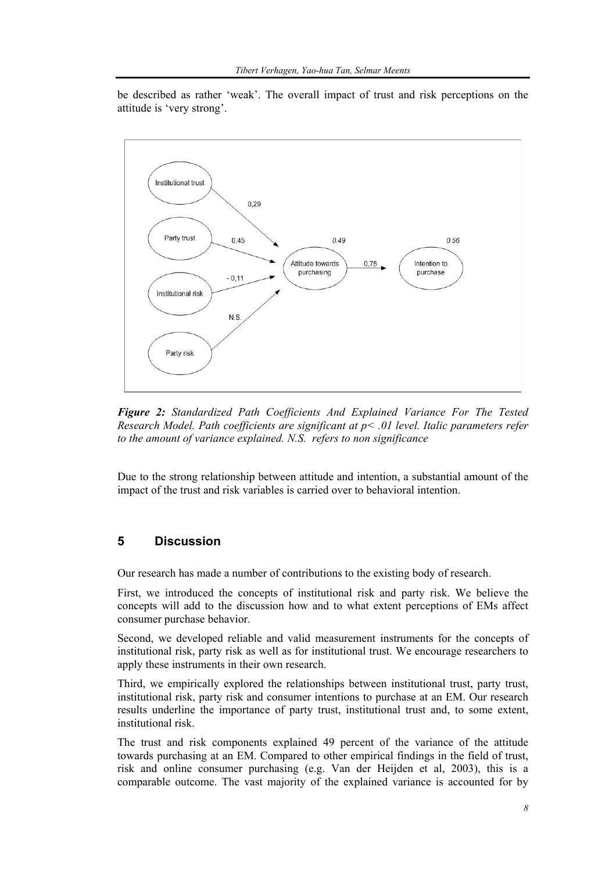be described as rather 'weak'. The overall impact of trust and risk perceptions on the attitude is 'very strong'.



*Figure 2: Standardized Path Coefficients And Explained Variance For The Tested Research Model. Path coefficients are significant at p< .01 level. Italic parameters refer to the amount of variance explained. N.S. refers to non significance* 

Due to the strong relationship between attitude and intention, a substantial amount of the impact of the trust and risk variables is carried over to behavioral intention.

# **5 Discussion**

Our research has made a number of contributions to the existing body of research.

First, we introduced the concepts of institutional risk and party risk. We believe the concepts will add to the discussion how and to what extent perceptions of EMs affect consumer purchase behavior.

Second, we developed reliable and valid measurement instruments for the concepts of institutional risk, party risk as well as for institutional trust. We encourage researchers to apply these instruments in their own research.

Third, we empirically explored the relationships between institutional trust, party trust, institutional risk, party risk and consumer intentions to purchase at an EM. Our research results underline the importance of party trust, institutional trust and, to some extent, institutional risk.

The trust and risk components explained 49 percent of the variance of the attitude towards purchasing at an EM. Compared to other empirical findings in the field of trust, risk and online consumer purchasing (e.g. Van der Heijden et al, 2003), this is a comparable outcome. The vast majority of the explained variance is accounted for by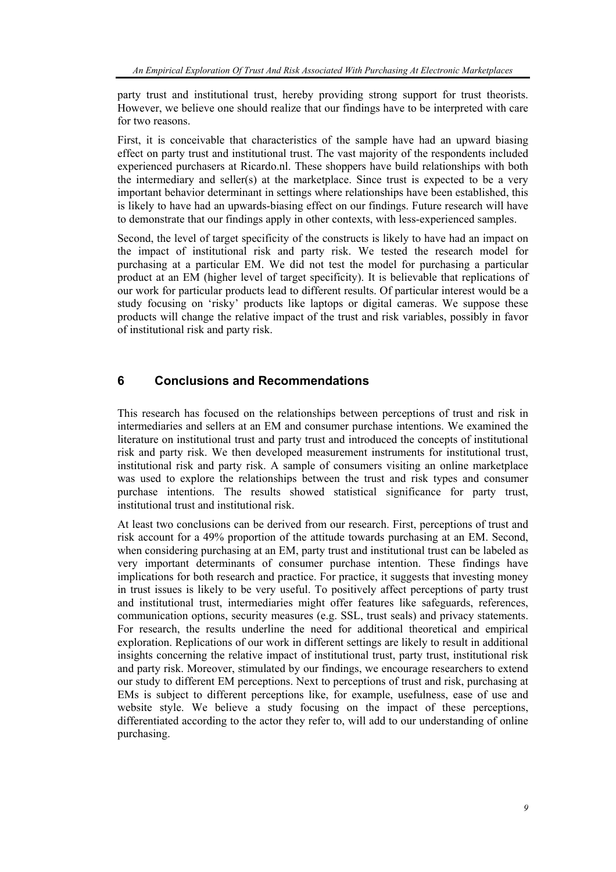party trust and institutional trust, hereby providing strong support for trust theorists. However, we believe one should realize that our findings have to be interpreted with care for two reasons.

First, it is conceivable that characteristics of the sample have had an upward biasing effect on party trust and institutional trust. The vast majority of the respondents included experienced purchasers at Ricardo.nl. These shoppers have build relationships with both the intermediary and seller(s) at the marketplace. Since trust is expected to be a very important behavior determinant in settings where relationships have been established, this is likely to have had an upwards-biasing effect on our findings. Future research will have to demonstrate that our findings apply in other contexts, with less-experienced samples.

Second, the level of target specificity of the constructs is likely to have had an impact on the impact of institutional risk and party risk. We tested the research model for purchasing at a particular EM. We did not test the model for purchasing a particular product at an EM (higher level of target specificity). It is believable that replications of our work for particular products lead to different results. Of particular interest would be a study focusing on 'risky' products like laptops or digital cameras. We suppose these products will change the relative impact of the trust and risk variables, possibly in favor of institutional risk and party risk.

# **6 Conclusions and Recommendations**

This research has focused on the relationships between perceptions of trust and risk in intermediaries and sellers at an EM and consumer purchase intentions. We examined the literature on institutional trust and party trust and introduced the concepts of institutional risk and party risk. We then developed measurement instruments for institutional trust, institutional risk and party risk. A sample of consumers visiting an online marketplace was used to explore the relationships between the trust and risk types and consumer purchase intentions. The results showed statistical significance for party trust, institutional trust and institutional risk.

At least two conclusions can be derived from our research. First, perceptions of trust and risk account for a 49% proportion of the attitude towards purchasing at an EM. Second, when considering purchasing at an EM, party trust and institutional trust can be labeled as very important determinants of consumer purchase intention. These findings have implications for both research and practice. For practice, it suggests that investing money in trust issues is likely to be very useful. To positively affect perceptions of party trust and institutional trust, intermediaries might offer features like safeguards, references, communication options, security measures (e.g. SSL, trust seals) and privacy statements. For research, the results underline the need for additional theoretical and empirical exploration. Replications of our work in different settings are likely to result in additional insights concerning the relative impact of institutional trust, party trust, institutional risk and party risk. Moreover, stimulated by our findings, we encourage researchers to extend our study to different EM perceptions. Next to perceptions of trust and risk, purchasing at EMs is subject to different perceptions like, for example, usefulness, ease of use and website style. We believe a study focusing on the impact of these perceptions, differentiated according to the actor they refer to, will add to our understanding of online purchasing.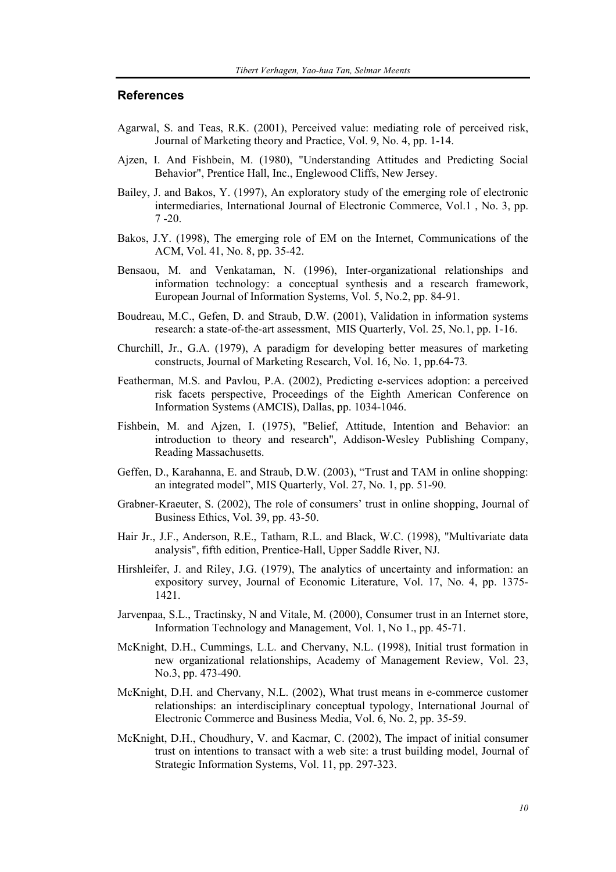## **References**

- Agarwal, S. and Teas, R.K. (2001), Perceived value: mediating role of perceived risk, Journal of Marketing theory and Practice, Vol. 9, No. 4, pp. 1-14.
- Ajzen, I. And Fishbein, M. (1980), "Understanding Attitudes and Predicting Social Behavior", Prentice Hall, Inc., Englewood Cliffs, New Jersey.
- Bailey, J. and Bakos, Y. (1997), An exploratory study of the emerging role of electronic intermediaries, International Journal of Electronic Commerce, Vol.1 , No. 3, pp. 7 -20.
- Bakos, J.Y. (1998), The emerging role of EM on the Internet, Communications of the ACM, Vol. 41, No. 8, pp. 35-42.
- Bensaou, M. and Venkataman, N. (1996), Inter-organizational relationships and information technology: a conceptual synthesis and a research framework, European Journal of Information Systems, Vol. 5, No.2, pp. 84-91.
- Boudreau, M.C., Gefen, D. and Straub, D.W. (2001), Validation in information systems research: a state-of-the-art assessment, MIS Quarterly, Vol. 25, No.1, pp. 1-16.
- Churchill, Jr., G.A. (1979), A paradigm for developing better measures of marketing constructs, Journal of Marketing Research, Vol. 16, No. 1, pp.64-73*.*
- Featherman, M.S. and Pavlou, P.A. (2002), Predicting e-services adoption: a perceived risk facets perspective, Proceedings of the Eighth American Conference on Information Systems (AMCIS), Dallas, pp. 1034-1046.
- Fishbein, M. and Ajzen, I. (1975), "Belief, Attitude, Intention and Behavior: an introduction to theory and research", Addison-Wesley Publishing Company, Reading Massachusetts.
- Geffen, D., Karahanna, E. and Straub, D.W. (2003), "Trust and TAM in online shopping: an integrated model", MIS Quarterly, Vol. 27, No. 1, pp. 51-90.
- Grabner-Kraeuter, S. (2002), The role of consumers' trust in online shopping, Journal of Business Ethics, Vol. 39, pp. 43-50.
- Hair Jr., J.F., Anderson, R.E., Tatham, R.L. and Black, W.C. (1998), "Multivariate data analysis", fifth edition, Prentice-Hall, Upper Saddle River, NJ.
- Hirshleifer, J. and Riley, J.G. (1979), The analytics of uncertainty and information: an expository survey, Journal of Economic Literature, Vol. 17, No. 4, pp. 1375- 1421.
- Jarvenpaa, S.L., Tractinsky, N and Vitale, M. (2000), Consumer trust in an Internet store, Information Technology and Management, Vol. 1, No 1., pp. 45-71.
- McKnight, D.H., Cummings, L.L. and Chervany, N.L. (1998), Initial trust formation in new organizational relationships, Academy of Management Review, Vol. 23, No.3, pp. 473-490.
- McKnight, D.H. and Chervany, N.L. (2002), What trust means in e-commerce customer relationships: an interdisciplinary conceptual typology, International Journal of Electronic Commerce and Business Media, Vol. 6, No. 2, pp. 35-59.
- McKnight, D.H., Choudhury, V. and Kacmar, C. (2002), The impact of initial consumer trust on intentions to transact with a web site: a trust building model, Journal of Strategic Information Systems, Vol. 11, pp. 297-323.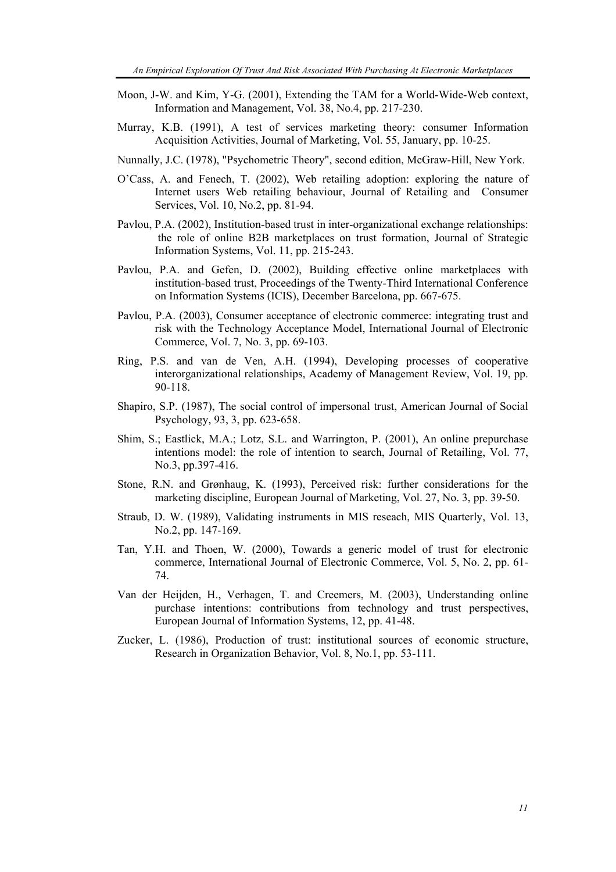- Moon, J-W. and Kim, Y-G. (2001), Extending the TAM for a World-Wide-Web context, Information and Management, Vol. 38, No.4, pp. 217-230.
- Murray, K.B. (1991), A test of services marketing theory: consumer Information Acquisition Activities, Journal of Marketing, Vol. 55, January, pp. 10-25.
- Nunnally, J.C. (1978), "Psychometric Theory", second edition, McGraw-Hill, New York.
- O'Cass, A. and Fenech, T. (2002), Web retailing adoption: exploring the nature of Internet users Web retailing behaviour, Journal of Retailing and Consumer Services, Vol. 10, No.2, pp. 81-94.
- Pavlou, P.A. (2002), Institution-based trust in inter-organizational exchange relationships: the role of online B2B marketplaces on trust formation, Journal of Strategic Information Systems, Vol. 11, pp. 215-243.
- Pavlou, P.A. and Gefen, D. (2002), Building effective online marketplaces with institution-based trust, Proceedings of the Twenty-Third International Conference on Information Systems (ICIS), December Barcelona, pp. 667-675.
- Pavlou, P.A. (2003), Consumer acceptance of electronic commerce: integrating trust and risk with the Technology Acceptance Model, International Journal of Electronic Commerce, Vol. 7, No. 3, pp. 69-103.
- Ring, P.S. and van de Ven, A.H. (1994), Developing processes of cooperative interorganizational relationships, Academy of Management Review, Vol. 19, pp. 90-118.
- Shapiro, S.P. (1987), The social control of impersonal trust, American Journal of Social Psychology, 93, 3, pp. 623-658.
- Shim, S.; Eastlick, M.A.; Lotz, S.L. and Warrington, P. (2001), An online prepurchase intentions model: the role of intention to search, Journal of Retailing, Vol. 77, No.3, pp.397-416.
- Stone, R.N. and Grønhaug, K. (1993), Perceived risk: further considerations for the marketing discipline, European Journal of Marketing, Vol. 27, No. 3, pp. 39-50.
- Straub, D. W. (1989), Validating instruments in MIS reseach, MIS Quarterly, Vol. 13, No.2, pp. 147-169.
- Tan, Y.H. and Thoen, W. (2000), Towards a generic model of trust for electronic commerce, International Journal of Electronic Commerce, Vol. 5, No. 2, pp. 61- 74.
- Van der Heijden, H., Verhagen, T. and Creemers, M. (2003), Understanding online purchase intentions: contributions from technology and trust perspectives, European Journal of Information Systems, 12, pp. 41-48.
- Zucker, L. (1986), Production of trust: institutional sources of economic structure, Research in Organization Behavior, Vol. 8, No.1, pp. 53-111.